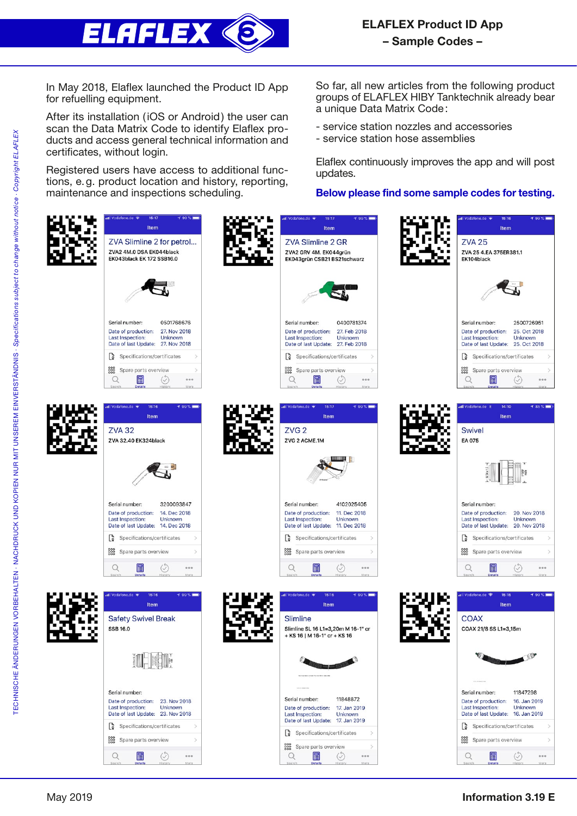

In May 2018, Elaflex launched the Product ID App for refuelling equipment.

After its installation (iOS or Android) the user can scan the Data Matrix Code to identify Elaflex products and access general technical information and certificates, without login.

Registered users have access to additional functions, e.g. product location and history, reporting, maintenance and inspections scheduling.

So far, all new articles from the following product groups of ELAFLEX HIBY Tanktechnik already bear a unique Data Matrix Code:

- service station nozzles and accessories
- service station hose assemblies

Elaflex continuously improves the app and will post updates.

Below please find some sample codes for testing.